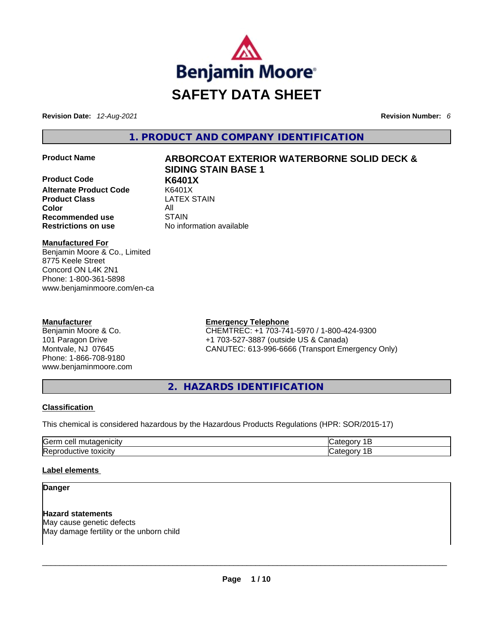

**Revision Date:** *12-Aug-2021* **Revision Number:** *6*

**1. PRODUCT AND COMPANY IDENTIFICATION** 

**Product Code K6401X Alternate Product Code** K6401X **Product Class Color** All **Recommended use** STAIN **Restrictions on use** No information available

# **Product Name ARBORCOAT EXTERIOR WATERBORNE SOLID DECK & SIDING STAIN BASE 1**

**Manufactured For** Benjamin Moore & Co., Limited 8775 Keele Street Concord ON L4K 2N1 Phone: 1-800-361-5898 www.benjaminmoore.com/en-ca

## **Manufacturer**

Benjamin Moore & Co. 101 Paragon Drive Montvale, NJ 07645 Phone: 1-866-708-9180 www.benjaminmoore.com

# **Emergency Telephone**

CHEMTREC: +1 703-741-5970 / 1-800-424-9300 +1 703-527-3887 (outside US & Canada) CANUTEC: 613-996-6666 (Transport Emergency Only)

**2. HAZARDS IDENTIFICATION** 

## **Classification**

This chemical is considered hazardous by the Hazardous Products Regulations (HPR: SOR/2015-17)

| Gern<br>vaenicity<br>cell<br>mutage:                       | . .         |
|------------------------------------------------------------|-------------|
| ┍<br>toxicity<br>.<br>. .<br>,epr<br>'ive<br>TOQUCL<br>. . | -<br>.<br>. |

## **Label elements**

**Danger** 

**Hazard statements** May cause genetic defects May damage fertility or the unborn child \_\_\_\_\_\_\_\_\_\_\_\_\_\_\_\_\_\_\_\_\_\_\_\_\_\_\_\_\_\_\_\_\_\_\_\_\_\_\_\_\_\_\_\_\_\_\_\_\_\_\_\_\_\_\_\_\_\_\_\_\_\_\_\_\_\_\_\_\_\_\_\_\_\_\_\_\_\_\_\_\_\_\_\_\_\_\_\_\_\_\_\_\_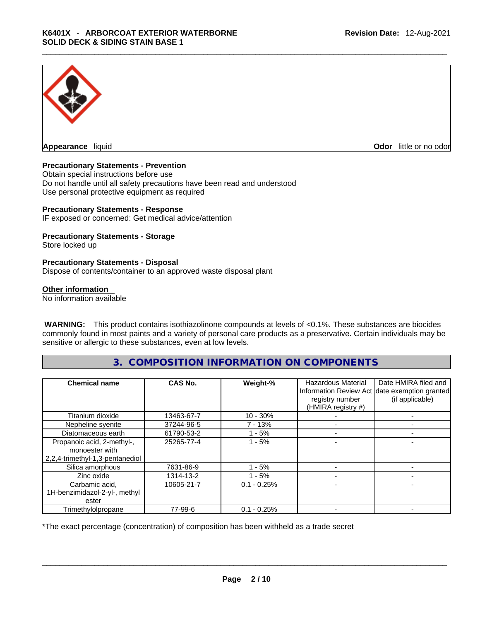

**Odor** little or no odor

#### **Precautionary Statements - Prevention**

Obtain special instructions before use Do not handle until all safety precautions have been read and understood Use personal protective equipment as required

#### **Precautionary Statements - Response**

IF exposed or concerned: Get medical advice/attention

#### **Precautionary Statements - Storage**

Store locked up

#### **Precautionary Statements - Disposal**

Dispose of contents/container to an approved waste disposal plant

#### **Other information**

No information available

 **WARNING:** This product contains isothiazolinone compounds at levels of <0.1%. These substances are biocides commonly found in most paints and a variety of personal care products as a preservative. Certain individuals may be sensitive or allergic to these substances, even at low levels.

# **3. COMPOSITION INFORMATION ON COMPONENTS**

| <b>Chemical name</b>                                                            | CAS No.    | Weight-%      | Hazardous Material<br>registry number<br>(HMIRA registry #) | Date HMIRA filed and<br>Information Review Act date exemption granted<br>(if applicable) |
|---------------------------------------------------------------------------------|------------|---------------|-------------------------------------------------------------|------------------------------------------------------------------------------------------|
| Titanium dioxide                                                                | 13463-67-7 | $10 - 30%$    |                                                             |                                                                                          |
| Nepheline syenite                                                               | 37244-96-5 | $7 - 13%$     |                                                             |                                                                                          |
| Diatomaceous earth                                                              | 61790-53-2 | $-5%$         |                                                             |                                                                                          |
| Propanoic acid, 2-methyl-,<br>monoester with<br>2,2,4-trimethyl-1,3-pentanediol | 25265-77-4 | $1 - 5%$      |                                                             |                                                                                          |
| Silica amorphous                                                                | 7631-86-9  | - 5%          |                                                             |                                                                                          |
| Zinc oxide                                                                      | 1314-13-2  | $-5%$         |                                                             |                                                                                          |
| Carbamic acid,<br>1H-benzimidazol-2-yl-, methyl<br>ester                        | 10605-21-7 | $0.1 - 0.25%$ |                                                             |                                                                                          |
| Trimethylolpropane                                                              | 77-99-6    | $0.1 - 0.25%$ |                                                             |                                                                                          |

\*The exact percentage (concentration) of composition has been withheld as a trade secret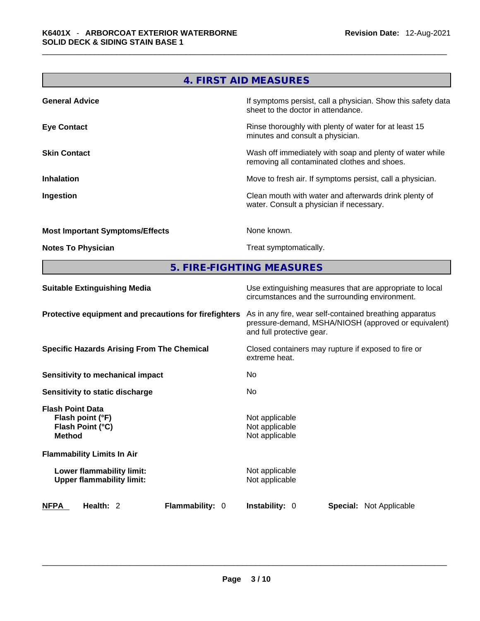|                                        | 4. FIRST AID MEASURES                                                                                    |
|----------------------------------------|----------------------------------------------------------------------------------------------------------|
| <b>General Advice</b>                  | If symptoms persist, call a physician. Show this safety data<br>sheet to the doctor in attendance.       |
| <b>Eye Contact</b>                     | Rinse thoroughly with plenty of water for at least 15<br>minutes and consult a physician.                |
| <b>Skin Contact</b>                    | Wash off immediately with soap and plenty of water while<br>removing all contaminated clothes and shoes. |
| <b>Inhalation</b>                      | Move to fresh air. If symptoms persist, call a physician.                                                |
| Ingestion                              | Clean mouth with water and afterwards drink plenty of<br>water. Consult a physician if necessary.        |
| <b>Most Important Symptoms/Effects</b> | None known.                                                                                              |
| <b>Notes To Physician</b>              | Treat symptomatically.                                                                                   |
|                                        |                                                                                                          |

# **5. FIRE-FIGHTING MEASURES**

| <b>Suitable Extinguishing Media</b>                                              | Use extinguishing measures that are appropriate to local<br>circumstances and the surrounding environment.                                   |  |  |
|----------------------------------------------------------------------------------|----------------------------------------------------------------------------------------------------------------------------------------------|--|--|
| Protective equipment and precautions for firefighters                            | As in any fire, wear self-contained breathing apparatus<br>pressure-demand, MSHA/NIOSH (approved or equivalent)<br>and full protective gear. |  |  |
| <b>Specific Hazards Arising From The Chemical</b>                                | Closed containers may rupture if exposed to fire or<br>extreme heat.                                                                         |  |  |
| <b>Sensitivity to mechanical impact</b>                                          | No.                                                                                                                                          |  |  |
| Sensitivity to static discharge                                                  | No.                                                                                                                                          |  |  |
| <b>Flash Point Data</b><br>Flash point (°F)<br>Flash Point (°C)<br><b>Method</b> | Not applicable<br>Not applicable<br>Not applicable                                                                                           |  |  |
| <b>Flammability Limits In Air</b>                                                |                                                                                                                                              |  |  |
| Lower flammability limit:<br><b>Upper flammability limit:</b>                    | Not applicable<br>Not applicable                                                                                                             |  |  |
| Health: 2<br>Flammability: 0<br><b>NFPA</b>                                      | <b>Instability: 0</b><br><b>Special: Not Applicable</b>                                                                                      |  |  |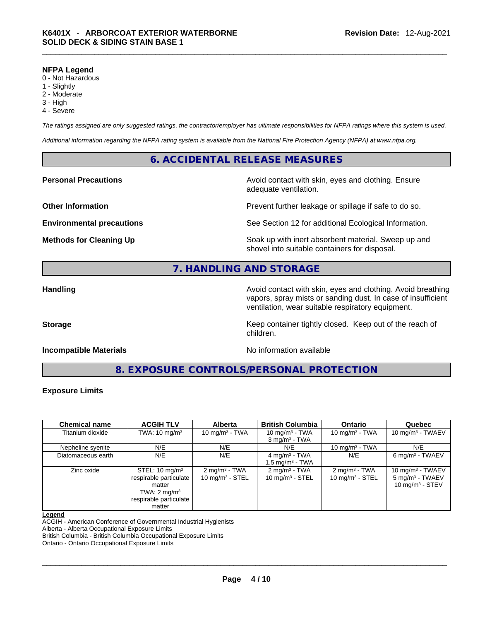#### **NFPA Legend**

- 0 Not Hazardous
- 1 Slightly
- 2 Moderate
- 3 High
- 4 Severe

*The ratings assigned are only suggested ratings, the contractor/employer has ultimate responsibilities for NFPA ratings where this system is used.* 

*Additional information regarding the NFPA rating system is available from the National Fire Protection Agency (NFPA) at www.nfpa.org.* 

# **6. ACCIDENTAL RELEASE MEASURES**

**Personal Precautions Avoid contact with skin, eyes and clothing. Ensure Personal Precautions** adequate ventilation.

**Other Information Discription Prevent further leakage or spillage if safe to do so.** 

**Environmental precautions** See Section 12 for additional Ecological Information.

**Methods for Cleaning Up Example 20 All 20 All 20 All 20 Soak** up with inert absorbent material. Sweep up and shovel into suitable containers for disposal.

# **7. HANDLING AND STORAGE**

**Handling Handling Avoid contact with skin, eyes and clothing. Avoid breathing** vapors, spray mists or sanding dust. In case of insufficient ventilation, wear suitable respiratory equipment.

**Storage Keep container tightly closed. Keep out of the reach of Keep** container tightly closed. Keep out of the reach of

#### **Incompatible Materials No information available No** information available

**8. EXPOSURE CONTROLS/PERSONAL PROTECTION** 

children.

#### **Exposure Limits**

| <b>Chemical name</b> | <b>ACGIH TLV</b>                                                                                                             | <b>Alberta</b>                                         | <b>British Columbia</b>                                  | <b>Ontario</b>                                 | Quebec                                                                  |
|----------------------|------------------------------------------------------------------------------------------------------------------------------|--------------------------------------------------------|----------------------------------------------------------|------------------------------------------------|-------------------------------------------------------------------------|
| Titanium dioxide     | TWA: $10 \text{ mg/m}^3$                                                                                                     | 10 mg/m $3$ - TWA                                      | 10 mg/m $3$ - TWA<br>$3$ mg/m <sup>3</sup> - TWA         | 10 mg/m $3$ - TWA                              | 10 mg/m <sup>3</sup> - TWAEV                                            |
| Nepheline syenite    | N/E                                                                                                                          | N/E                                                    | N/E                                                      | 10 mg/m $3$ - TWA                              | N/E                                                                     |
| Diatomaceous earth   | N/E                                                                                                                          | N/E                                                    | 4 mg/m <sup>3</sup> - TWA<br>1.5 mg/m <sup>3</sup> - TWA | N/E                                            | $6 \text{ mg/m}^3$ - TWAEV                                              |
| Zinc oxide           | STEL: $10 \text{ mg/m}^3$<br>respirable particulate<br>matter<br>TWA: $2 \text{ mg/m}^3$<br>respirable particulate<br>matter | $2 \text{ mg/m}^3$ - TWA<br>$10 \text{ mg/m}^3$ - STEL | $2 \text{ mg/m}^3$ - TWA<br>$10 \text{ mg/m}^3$ - STEL   | $2 \text{ mg/m}^3$ - TWA<br>10 $mq/m^3$ - STEL | 10 mg/m $3$ - TWAEV<br>$5 \text{ mg/m}^3$ - TWAEV<br>10 mg/m $3 -$ STEV |

#### **Legend**

ACGIH - American Conference of Governmental Industrial Hygienists

Alberta - Alberta Occupational Exposure Limits

British Columbia - British Columbia Occupational Exposure Limits

Ontario - Ontario Occupational Exposure Limits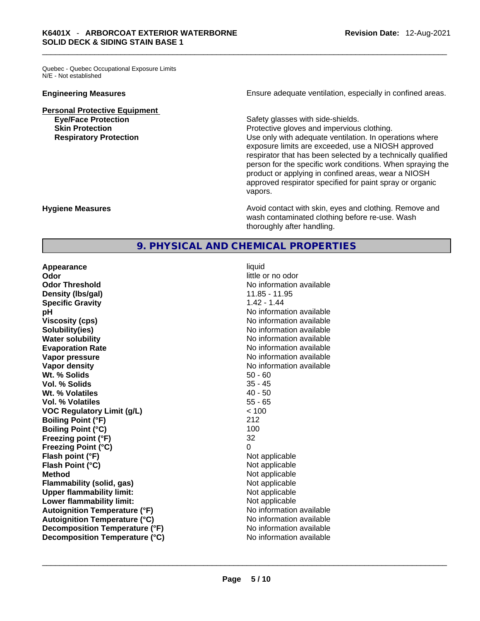Quebec - Quebec Occupational Exposure Limits N/E - Not established

**Personal Protective Equipment**

**Engineering Measures Ensure adequate ventilation, especially in confined areas.** 

**Eye/Face Protection** Safety glasses with side-shields. **Skin Protection Protection Protective gloves and impervious clothing. Respiratory Protection Number 2012** Use only with adequate ventilation. In operations where exposure limits are exceeded, use a NIOSH approved respirator that has been selected by a technically qualified person for the specific work conditions. When spraying the product or applying in confined areas, wear a NIOSH approved respirator specified for paint spray or organic vapors.

**Hygiene Measures Avoid contact with skin, eyes and clothing. Remove and Avoid contact with skin, eyes and clothing. Remove and Avoid contact with skin, eyes and clothing. Remove and** wash contaminated clothing before re-use. Wash thoroughly after handling.

# **9. PHYSICAL AND CHEMICAL PROPERTIES**

**Appearance liquid Odor Odor Odor Odor Odor Odor** *little or no odor little or no odor* **Odor Threshold** No information available **Density (lbs/gal)** 11.85 - 11.95<br> **Specific Gravity** 1.42 - 1.44 **Specific Gravity pH bH** *pH* **Viscosity (cps) No information available No information available Solubility(ies)** No information available **Water solubility No information available No information available Evaporation Rate No information available No information available Vapor pressure**  No information available **Vapor pressure No information available Vapor density No information available No** information available **Wt. % Solids** 50 - 60 **Vol. % Solids** 35 - 45 **Wt. % Volatiles Vol. % Volatiles** 55 - 65 **VOC Regulatory Limit (g/L)** < 100 **Boiling Point (°F)** 212 **Boiling Point (°C)** 100 **Freezing point (°F)** 32 **Freezing Point (°C)** 0 **Flash point (°F)** Not applicable **Flash Point (°C)** Not applicable **Method**<br> **Plammability (solid, gas)**<br> **Plammability (solid, gas)**<br> **Not** applicable **Flammability (solid, gas)**<br> **Upper flammability limit:**<br>
Upper flammability limit:<br>  $\begin{array}{ccc}\n\bullet & \bullet & \bullet \\
\bullet & \bullet & \bullet\n\end{array}$  Not applicable **Upper flammability limit:**<br> **Lower flammability limit:** Not applicable Not applicable **Lower flammability limit:**<br> **Autoignition Temperature (°F)** Not applicable havailable **Autoignition Temperature (°F) Autoignition Temperature (°C)** No information available **Decomposition Temperature (°F)** No information available **Decomposition Temperature (°C)** No information available \_\_\_\_\_\_\_\_\_\_\_\_\_\_\_\_\_\_\_\_\_\_\_\_\_\_\_\_\_\_\_\_\_\_\_\_\_\_\_\_\_\_\_\_\_\_\_\_\_\_\_\_\_\_\_\_\_\_\_\_\_\_\_\_\_\_\_\_\_\_\_\_\_\_\_\_\_\_\_\_\_\_\_\_\_\_\_\_\_\_\_\_\_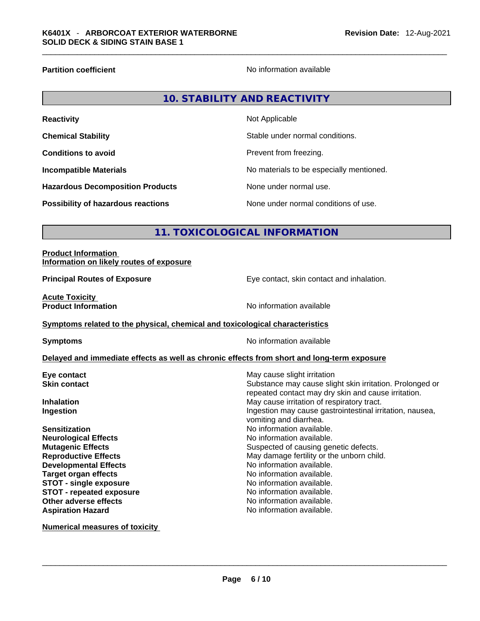**Partition coefficient** No information available

| <b>Reactivity</b>                       | Not Applicable                           |
|-----------------------------------------|------------------------------------------|
| <b>Chemical Stability</b>               | Stable under normal conditions.          |
| <b>Conditions to avoid</b>              | Prevent from freezing.                   |
| <b>Incompatible Materials</b>           | No materials to be especially mentioned. |
| <b>Hazardous Decomposition Products</b> | None under normal use.                   |
| Possibility of hazardous reactions      | None under normal conditions of use.     |

# **11. TOXICOLOGICAL INFORMATION**

| <b>Product Information</b>               |  |
|------------------------------------------|--|
| Information on likely routes of exposure |  |

**Principal Routes of Exposure Exposure** Eye contact, skin contact and inhalation.

Substance may cause slight skin irritation. Prolonged or repeated contact may dry skin and cause irritation.

**Acute Toxicity<br>Product Information** 

**No information available** 

**Symptoms related to the physical,chemical and toxicological characteristics**

**Symptoms Symptoms No information available** 

**May cause slight irritation** 

vomiting and diarrhea.

**No information available.**<br>No information available.

No information available.

#### **Delayed and immediate effects as well as chronic effects from short and long-term exposure**

| Eye contact         |  |
|---------------------|--|
| <b>Skin contact</b> |  |

**Inhalation Inhalation Inhalation May cause irritation of respiratory tract. Ingestion Ingestion Ingestion Ingestion Ingestion Ingestion** *Ingestion**Ingestion* **<b>***Ingestion Ingestion Ingestion Ingestion Ingestion Ingestion Ingestion Ingestion Ingestion* 

**Sensitization Sensitization No information available. Neurological Effects No information available. Mutagenic Effects Mutagenic Effects Suspected of causing genetic defects. Reproductive Effects May damage fertility or the unborn child.**<br> **Developmental Effects May damage fertility or the unborn child.**<br>
No information available. **Developmental Effects<br>Target organ effects STOT -** single exposure<br> **STOT** - repeated exposure<br> **STOT** - repeated exposure **STOT** - repeated exposure<br>Other adverse effects Aspiration Hazard **Aspiration Hazard No information available.** 

**Numerical measures of toxicity**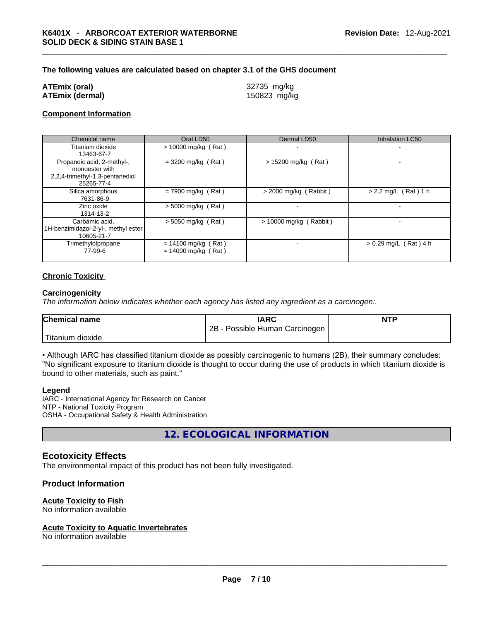#### **The following values are calculated based on chapter 3.1 of the GHS document**

#### **ATEmix (oral)** 32735 mg/kg **ATEmix (dermal)** 150823 mg/kg

#### **Component Information**

| Chemical name                                                                                 | Oral LD50                                      | Dermal LD50              | <b>Inhalation LC50</b>  |
|-----------------------------------------------------------------------------------------------|------------------------------------------------|--------------------------|-------------------------|
| Titanium dioxide<br>13463-67-7                                                                | $> 10000$ mg/kg (Rat)                          |                          |                         |
| Propanoic acid, 2-methyl-,<br>monoester with<br>2,2,4-trimethyl-1,3-pentanediol<br>25265-77-4 | $= 3200$ mg/kg (Rat)                           | $> 15200$ mg/kg (Rat)    | -                       |
| Silica amorphous<br>7631-86-9                                                                 | $= 7900$ mg/kg (Rat)                           | $>$ 2000 mg/kg (Rabbit)  | $> 2.2$ mg/L (Rat) 1 h  |
| Zinc oxide<br>1314-13-2                                                                       | $>$ 5000 mg/kg (Rat)                           |                          |                         |
| Carbamic acid.<br>1H-benzimidazol-2-yl-, methyl ester<br>10605-21-7                           | $>$ 5050 mg/kg (Rat)                           | $> 10000$ mg/kg (Rabbit) |                         |
| Trimethylolpropane<br>77-99-6                                                                 | $= 14100$ mg/kg (Rat)<br>$= 14000$ mg/kg (Rat) |                          | $> 0.29$ mg/L (Rat) 4 h |

## **Chronic Toxicity**

#### **Carcinogenicity**

*The information below indicates whether each agency has listed any ingredient as a carcinogen:.* 

| <b>Chemical name</b>          | <b>IARC</b>                     | <b>NTP</b> |
|-------------------------------|---------------------------------|------------|
|                               | 2B<br>Possible Human Carcinogen |            |
| <sup>1</sup> Titanium dioxide |                                 |            |

• Although IARC has classified titanium dioxide as possibly carcinogenic to humans (2B), their summary concludes: "No significant exposure to titanium dioxide is thought to occur during the use of products in which titanium dioxide is bound to other materials, such as paint."

#### **Legend**

IARC - International Agency for Research on Cancer NTP - National Toxicity Program OSHA - Occupational Safety & Health Administration

**12. ECOLOGICAL INFORMATION** 

## **Ecotoxicity Effects**

The environmental impact of this product has not been fully investigated.

## **Product Information**

#### **Acute Toxicity to Fish**

# No information available \_\_\_\_\_\_\_\_\_\_\_\_\_\_\_\_\_\_\_\_\_\_\_\_\_\_\_\_\_\_\_\_\_\_\_\_\_\_\_\_\_\_\_\_\_\_\_\_\_\_\_\_\_\_\_\_\_\_\_\_\_\_\_\_\_\_\_\_\_\_\_\_\_\_\_\_\_\_\_\_\_\_\_\_\_\_\_\_\_\_\_\_\_ **Acute Toxicity to Aquatic Invertebrates**

No information available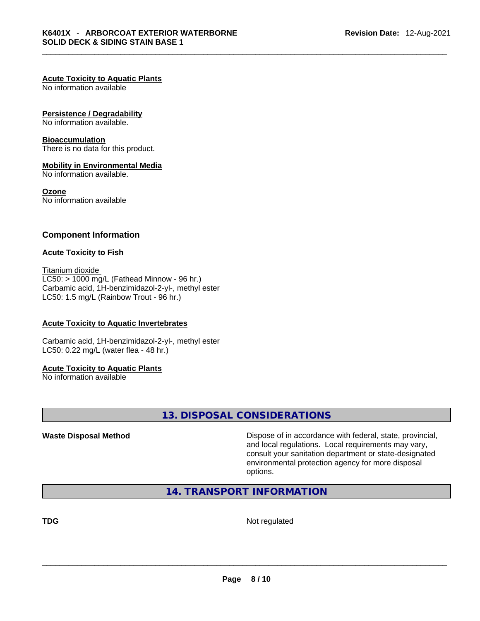#### **Acute Toxicity to Aquatic Plants**

No information available

#### **Persistence / Degradability**

No information available.

#### **Bioaccumulation**

There is no data for this product.

#### **Mobility in Environmental Media**

No information available.

#### **Ozone**

No information available

#### **Component Information**

#### **Acute Toxicity to Fish**

Titanium dioxide  $LC50:$  > 1000 mg/L (Fathead Minnow - 96 hr.) Carbamic acid, 1H-benzimidazol-2-yl-, methyl ester LC50: 1.5 mg/L (Rainbow Trout - 96 hr.)

#### **Acute Toxicity to Aquatic Invertebrates**

Carbamic acid, 1H-benzimidazol-2-yl-, methyl ester LC50: 0.22 mg/L (water flea - 48 hr.)

#### **Acute Toxicity to Aquatic Plants**

No information available

# **13. DISPOSAL CONSIDERATIONS**

**Waste Disposal Method** Dispose of in accordance with federal, state, provincial, and local regulations. Local requirements may vary, consult your sanitation department or state-designated environmental protection agency for more disposal options.

**14. TRANSPORT INFORMATION** 

**TDG** Not regulated \_\_\_\_\_\_\_\_\_\_\_\_\_\_\_\_\_\_\_\_\_\_\_\_\_\_\_\_\_\_\_\_\_\_\_\_\_\_\_\_\_\_\_\_\_\_\_\_\_\_\_\_\_\_\_\_\_\_\_\_\_\_\_\_\_\_\_\_\_\_\_\_\_\_\_\_\_\_\_\_\_\_\_\_\_\_\_\_\_\_\_\_\_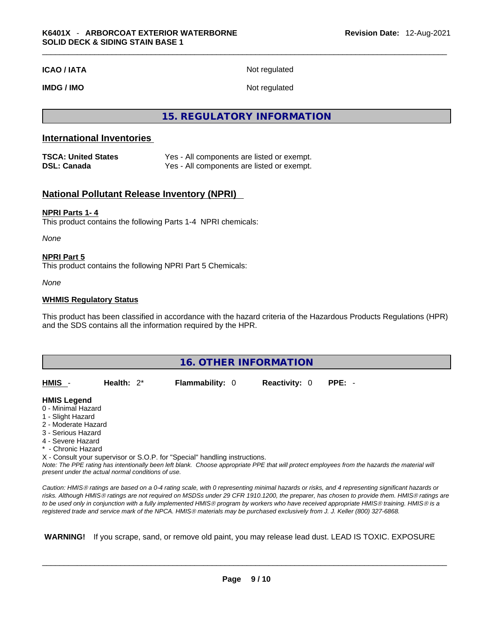#### **ICAO / IATA** Not regulated

**IMDG / IMO** Not regulated

# **15. REGULATORY INFORMATION**

# **International Inventories**

| <b>TSCA: United States</b> | Yes - All components are listed or exempt. |
|----------------------------|--------------------------------------------|
| <b>DSL: Canada</b>         | Yes - All components are listed or exempt. |

## **National Pollutant Release Inventory (NPRI)**

#### **NPRI Parts 1- 4**

This product contains the following Parts 1-4 NPRI chemicals:

*None*

#### **NPRI Part 5**

This product contains the following NPRI Part 5 Chemicals:

*None*

#### **WHMIS Regulatory Status**

This product has been classified in accordance with the hazard criteria of the Hazardous Products Regulations (HPR) and the SDS contains all the information required by the HPR.

| <b>16. OTHER INFORMATION</b>                                                                                                                                                                                                                                                                                                                                                                                                               |               |  |                        |                      |          |  |  |
|--------------------------------------------------------------------------------------------------------------------------------------------------------------------------------------------------------------------------------------------------------------------------------------------------------------------------------------------------------------------------------------------------------------------------------------------|---------------|--|------------------------|----------------------|----------|--|--|
| HMIS                                                                                                                                                                                                                                                                                                                                                                                                                                       | Health: $2^*$ |  | <b>Flammability: 0</b> | <b>Reactivity: 0</b> | $PPE: -$ |  |  |
| <b>HMIS Legend</b><br>0 - Minimal Hazard<br>1 - Slight Hazard<br>2 - Moderate Hazard<br>3 - Serious Hazard<br>4 - Severe Hazard<br>* - Chronic Hazard<br>X - Consult your supervisor or S.O.P. for "Special" handling instructions.<br>Note: The PPE rating has intentionally been left blank. Choose appropriate PPE that will protect employees from the hazards the material will<br>present under the actual normal conditions of use. |               |  |                        |                      |          |  |  |

*Caution: HMISÒ ratings are based on a 0-4 rating scale, with 0 representing minimal hazards or risks, and 4 representing significant hazards or risks. Although HMISÒ ratings are not required on MSDSs under 29 CFR 1910.1200, the preparer, has chosen to provide them. HMISÒ ratings are to be used only in conjunction with a fully implemented HMISÒ program by workers who have received appropriate HMISÒ training. HMISÒ is a registered trade and service mark of the NPCA. HMISÒ materials may be purchased exclusively from J. J. Keller (800) 327-6868.* 

 **WARNING!** If you scrape, sand, or remove old paint, you may release lead dust. LEAD IS TOXIC. EXPOSURE